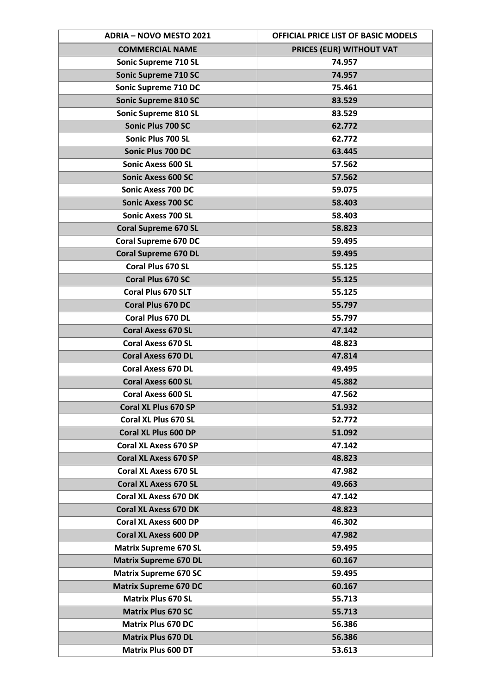| <b>ADRIA - NOVO MESTO 2021</b> | OFFICIAL PRICE LIST OF BASIC MODELS |
|--------------------------------|-------------------------------------|
| <b>COMMERCIAL NAME</b>         | PRICES (EUR) WITHOUT VAT            |
| Sonic Supreme 710 SL           | 74.957                              |
| <b>Sonic Supreme 710 SC</b>    | 74.957                              |
| Sonic Supreme 710 DC           | 75.461                              |
| <b>Sonic Supreme 810 SC</b>    | 83.529                              |
| Sonic Supreme 810 SL           | 83.529                              |
| Sonic Plus 700 SC              | 62.772                              |
| Sonic Plus 700 SL              | 62.772                              |
| Sonic Plus 700 DC              | 63.445                              |
| <b>Sonic Axess 600 SL</b>      | 57.562                              |
| <b>Sonic Axess 600 SC</b>      | 57.562                              |
| <b>Sonic Axess 700 DC</b>      | 59.075                              |
| <b>Sonic Axess 700 SC</b>      | 58.403                              |
| <b>Sonic Axess 700 SL</b>      | 58.403                              |
| <b>Coral Supreme 670 SL</b>    | 58.823                              |
| <b>Coral Supreme 670 DC</b>    | 59.495                              |
| <b>Coral Supreme 670 DL</b>    | 59.495                              |
| Coral Plus 670 SL              | 55.125                              |
| Coral Plus 670 SC              | 55.125                              |
| Coral Plus 670 SLT             | 55.125                              |
| <b>Coral Plus 670 DC</b>       | 55.797                              |
| Coral Plus 670 DL              | 55.797                              |
| <b>Coral Axess 670 SL</b>      | 47.142                              |
| <b>Coral Axess 670 SL</b>      | 48.823                              |
| <b>Coral Axess 670 DL</b>      | 47.814                              |
| <b>Coral Axess 670 DL</b>      | 49.495                              |
| <b>Coral Axess 600 SL</b>      | 45.882                              |
| <b>Coral Axess 600 SL</b>      | 47.562                              |
| Coral XL Plus 670 SP           | 51.932                              |
| Coral XL Plus 670 SL           | 52.772                              |
| Coral XL Plus 600 DP           | 51.092                              |
| <b>Coral XL Axess 670 SP</b>   | 47.142                              |
| <b>Coral XL Axess 670 SP</b>   | 48.823                              |
| <b>Coral XL Axess 670 SL</b>   | 47.982                              |
| <b>Coral XL Axess 670 SL</b>   | 49.663                              |
| <b>Coral XL Axess 670 DK</b>   | 47.142                              |
| <b>Coral XL Axess 670 DK</b>   | 48.823                              |
| <b>Coral XL Axess 600 DP</b>   | 46.302                              |
| <b>Coral XL Axess 600 DP</b>   | 47.982                              |
| <b>Matrix Supreme 670 SL</b>   | 59.495                              |
| <b>Matrix Supreme 670 DL</b>   | 60.167                              |
| <b>Matrix Supreme 670 SC</b>   | 59.495                              |
| <b>Matrix Supreme 670 DC</b>   | 60.167                              |
| <b>Matrix Plus 670 SL</b>      | 55.713                              |
| <b>Matrix Plus 670 SC</b>      | 55.713                              |
| <b>Matrix Plus 670 DC</b>      | 56.386                              |
| <b>Matrix Plus 670 DL</b>      | 56.386                              |
| <b>Matrix Plus 600 DT</b>      | 53.613                              |
|                                |                                     |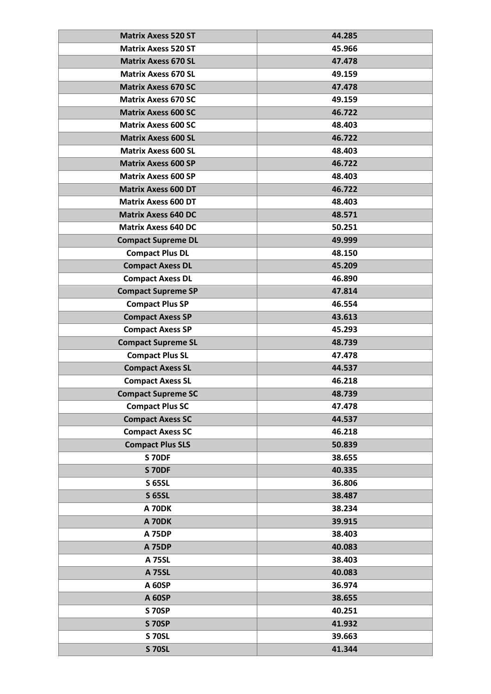| <b>Matrix Axess 520 ST</b> | 44.285 |
|----------------------------|--------|
| <b>Matrix Axess 520 ST</b> | 45.966 |
| <b>Matrix Axess 670 SL</b> | 47.478 |
| <b>Matrix Axess 670 SL</b> | 49.159 |
| <b>Matrix Axess 670 SC</b> | 47.478 |
| <b>Matrix Axess 670 SC</b> | 49.159 |
| <b>Matrix Axess 600 SC</b> | 46.722 |
| <b>Matrix Axess 600 SC</b> | 48.403 |
| <b>Matrix Axess 600 SL</b> | 46.722 |
| <b>Matrix Axess 600 SL</b> | 48.403 |
| <b>Matrix Axess 600 SP</b> | 46.722 |
| <b>Matrix Axess 600 SP</b> | 48.403 |
| <b>Matrix Axess 600 DT</b> | 46.722 |
| <b>Matrix Axess 600 DT</b> | 48.403 |
| <b>Matrix Axess 640 DC</b> | 48.571 |
| <b>Matrix Axess 640 DC</b> | 50.251 |
| <b>Compact Supreme DL</b>  | 49.999 |
| <b>Compact Plus DL</b>     | 48.150 |
| <b>Compact Axess DL</b>    | 45.209 |
| <b>Compact Axess DL</b>    | 46.890 |
| <b>Compact Supreme SP</b>  | 47.814 |
| <b>Compact Plus SP</b>     | 46.554 |
| <b>Compact Axess SP</b>    | 43.613 |
| <b>Compact Axess SP</b>    | 45.293 |
| <b>Compact Supreme SL</b>  | 48.739 |
| <b>Compact Plus SL</b>     | 47.478 |
| <b>Compact Axess SL</b>    | 44.537 |
| <b>Compact Axess SL</b>    | 46.218 |
| <b>Compact Supreme SC</b>  | 48.739 |
| <b>Compact Plus SC</b>     | 47.478 |
| <b>Compact Axess SC</b>    | 44.537 |
| <b>Compact Axess SC</b>    | 46.218 |
| <b>Compact Plus SLS</b>    | 50.839 |
| <b>S 70DF</b>              | 38.655 |
| <b>S 70DF</b>              | 40.335 |
| <b>S 65SL</b>              | 36.806 |
| <b>S 65SL</b>              | 38.487 |
| <b>A 70DK</b>              | 38.234 |
| <b>A 70DK</b>              | 39.915 |
| <b>A 75DP</b>              | 38.403 |
| <b>A 75DP</b>              | 40.083 |
| <b>A 75SL</b>              | 38.403 |
| <b>A 75SL</b>              | 40.083 |
| A 60SP                     | 36.974 |
| <b>A 60SP</b>              | 38.655 |
| <b>S 70SP</b>              | 40.251 |
| <b>S 70SP</b>              | 41.932 |
| <b>S 70SL</b>              | 39.663 |
| <b>S 70SL</b>              | 41.344 |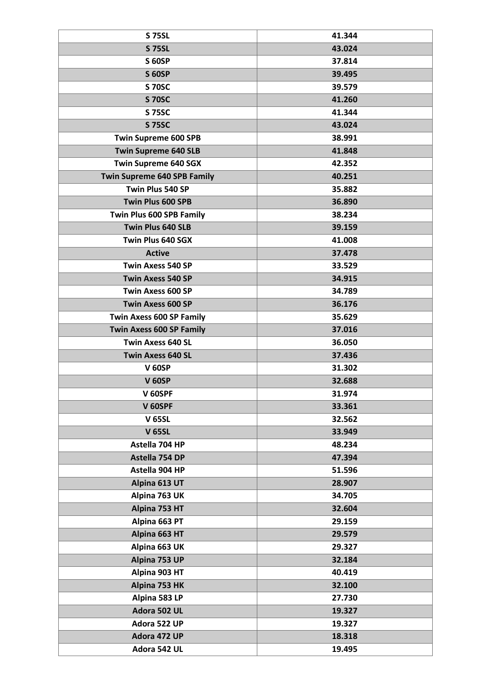| <b>S 75SL</b>                      | 41.344 |
|------------------------------------|--------|
| <b>S 75SL</b>                      | 43.024 |
| <b>S 60SP</b>                      | 37.814 |
| <b>S 60SP</b>                      | 39.495 |
| <b>S 70SC</b>                      | 39.579 |
| <b>S 70SC</b>                      | 41.260 |
| <b>S 75SC</b>                      | 41.344 |
| <b>S 75SC</b>                      | 43.024 |
| <b>Twin Supreme 600 SPB</b>        | 38.991 |
| <b>Twin Supreme 640 SLB</b>        | 41.848 |
| <b>Twin Supreme 640 SGX</b>        | 42.352 |
| <b>Twin Supreme 640 SPB Family</b> | 40.251 |
| Twin Plus 540 SP                   | 35.882 |
| Twin Plus 600 SPB                  | 36.890 |
| Twin Plus 600 SPB Family           | 38.234 |
| Twin Plus 640 SLB                  | 39.159 |
| Twin Plus 640 SGX                  | 41.008 |
| <b>Active</b>                      | 37.478 |
| <b>Twin Axess 540 SP</b>           | 33.529 |
| <b>Twin Axess 540 SP</b>           | 34.915 |
| <b>Twin Axess 600 SP</b>           | 34.789 |
| <b>Twin Axess 600 SP</b>           | 36.176 |
| <b>Twin Axess 600 SP Family</b>    | 35.629 |
| <b>Twin Axess 600 SP Family</b>    | 37.016 |
| <b>Twin Axess 640 SL</b>           | 36.050 |
| <b>Twin Axess 640 SL</b>           | 37.436 |
| <b>V 60SP</b>                      | 31.302 |
| <b>V 60SP</b>                      | 32.688 |
| V 60SPF                            | 31.974 |
| V 60SPF                            | 33.361 |
| <b>V 65SL</b>                      | 32.562 |
| <b>V 65SL</b>                      | 33.949 |
| Astella 704 HP                     | 48.234 |
| Astella 754 DP                     | 47.394 |
| Astella 904 HP                     | 51.596 |
| Alpina 613 UT                      | 28.907 |
| Alpina 763 UK                      | 34.705 |
| Alpina 753 HT                      | 32.604 |
| Alpina 663 PT                      | 29.159 |
| Alpina 663 HT                      | 29.579 |
| Alpina 663 UK                      | 29.327 |
| Alpina 753 UP                      | 32.184 |
| Alpina 903 HT                      | 40.419 |
| Alpina 753 HK                      | 32.100 |
| Alpina 583 LP                      | 27.730 |
| Adora 502 UL                       | 19.327 |
| Adora 522 UP                       | 19.327 |
| Adora 472 UP                       | 18.318 |
| Adora 542 UL                       | 19.495 |